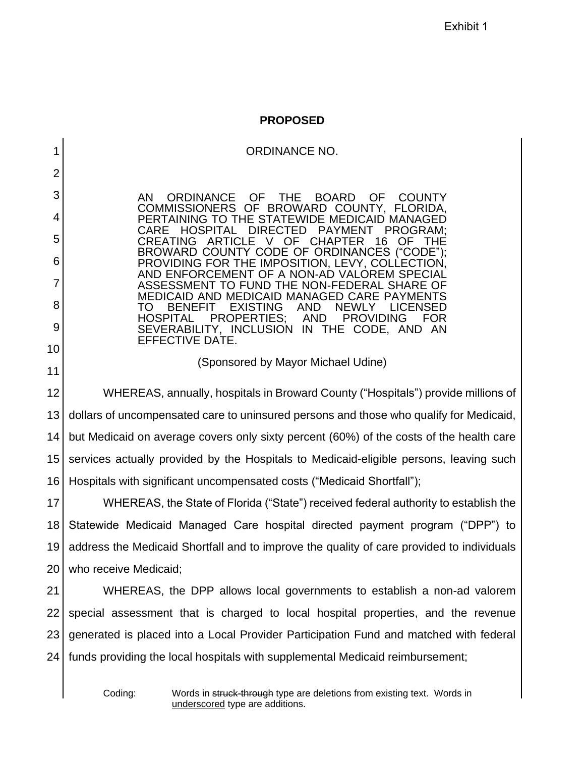Exhibit 1

#### **PROPOSED**

#### ORDINANCE NO.

AN ORDINANCE OF THE BOARD OF COUNTY COMMISSIONERS OF BROWARD COUNTY, FLORIDA, PERTAINING TO THE STATEWIDE MEDICAID MANAGED DIRECTED PAYMENT PROGRAM;<br>E V OF CHAPTER 16 OF THE CREATING ARTICLE BROWARD COUNTY CODE OF ORDINANCES ("CODE"); PROVIDING FOR THE IMPOSITION, LEVY, COLLECTION, AND ENFORCEMENT OF A NON-AD VALOREM SPECIAL ASSESSMENT TO FUND THE NON-FEDERAL SHARE OF MEDICAID AND MEDICAID MANAGED CARE PAYMENTS TO BENEFIT EXISTING AND NEWLY LICENSED<br>HOSPITAL PROPERTIES; AND PROVIDING FOR HOSPITAL PROPERTIES; AND PROVIDING FOR SEVERABILITY, INCLUSION IN THE CODE, AND AN EFFECTIVE DATE.

#### (Sponsored by Mayor Michael Udine)

12 13 14 15 16 WHEREAS, annually, hospitals in Broward County ("Hospitals") provide millions of dollars of uncompensated care to uninsured persons and those who qualify for Medicaid, but Medicaid on average covers only sixty percent (60%) of the costs of the health care services actually provided by the Hospitals to Medicaid-eligible persons, leaving such Hospitals with significant uncompensated costs ("Medicaid Shortfall");

17 18 19 20 WHEREAS, the State of Florida ("State") received federal authority to establish the Statewide Medicaid Managed Care hospital directed payment program ("DPP") to address the Medicaid Shortfall and to improve the quality of care provided to individuals who receive Medicaid;

21 22 23 24 WHEREAS, the DPP allows local governments to establish a non-ad valorem special assessment that is charged to local hospital properties, and the revenue generated is placed into a Local Provider Participation Fund and matched with federal funds providing the local hospitals with supplemental Medicaid reimbursement;

1

2

3

4

5

6

7

8

9

10

11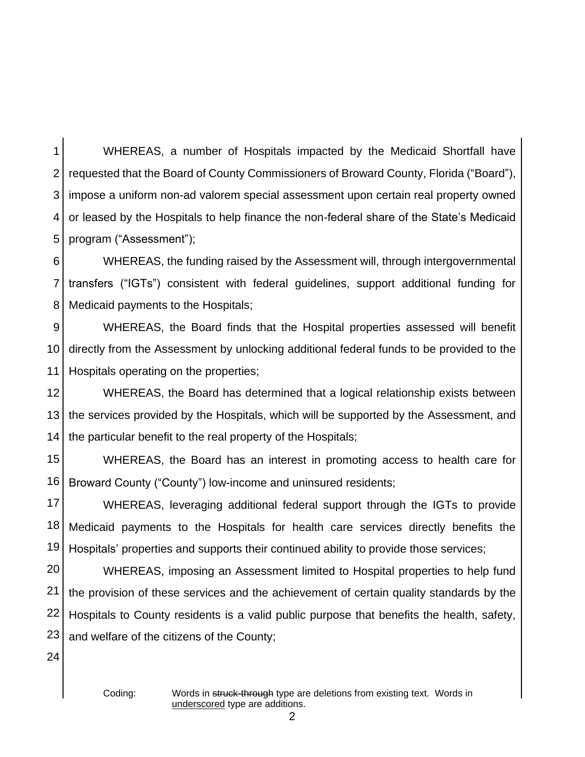1 2 3 4 5 WHEREAS, a number of Hospitals impacted by the Medicaid Shortfall have requested that the Board of County Commissioners of Broward County, Florida ("Board"), impose a uniform non-ad valorem special assessment upon certain real property owned or leased by the Hospitals to help finance the non-federal share of the State's Medicaid program ("Assessment");

6 7 8 WHEREAS, the funding raised by the Assessment will, through intergovernmental transfers ("IGTs") consistent with federal guidelines, support additional funding for Medicaid payments to the Hospitals;

9 10 11 WHEREAS, the Board finds that the Hospital properties assessed will benefit directly from the Assessment by unlocking additional federal funds to be provided to the Hospitals operating on the properties;

12 13 14 WHEREAS, the Board has determined that a logical relationship exists between the services provided by the Hospitals, which will be supported by the Assessment, and the particular benefit to the real property of the Hospitals;

15 16 WHEREAS, the Board has an interest in promoting access to health care for Broward County ("County") low-income and uninsured residents;

17 18 19 WHEREAS, leveraging additional federal support through the IGTs to provide Medicaid payments to the Hospitals for health care services directly benefits the Hospitals' properties and supports their continued ability to provide those services;

20 21 22 23 WHEREAS, imposing an Assessment limited to Hospital properties to help fund the provision of these services and the achievement of certain quality standards by the Hospitals to County residents is a valid public purpose that benefits the health, safety, and welfare of the citizens of the County;

24

Coding: Words in struck-through type are deletions from existing text. Words in underscored type are additions.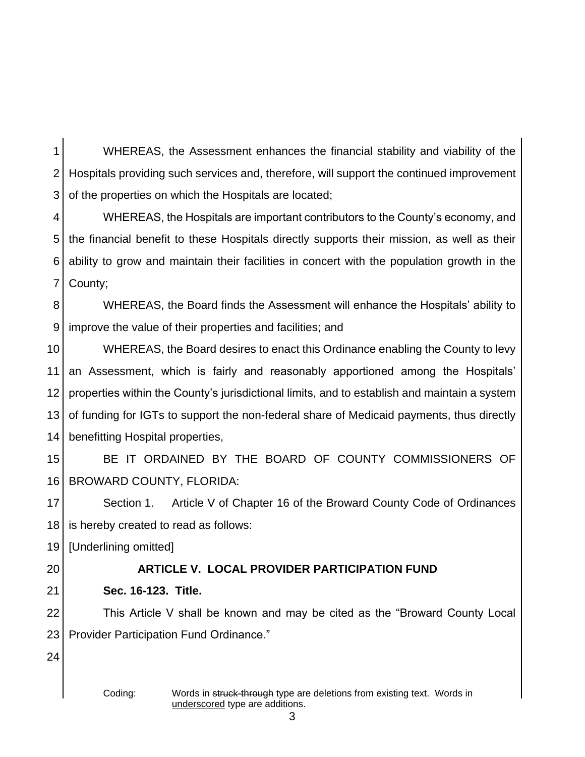1 2 3 WHEREAS, the Assessment enhances the financial stability and viability of the Hospitals providing such services and, therefore, will support the continued improvement of the properties on which the Hospitals are located;

4 5 6 7 WHEREAS, the Hospitals are important contributors to the County's economy, and the financial benefit to these Hospitals directly supports their mission, as well as their ability to grow and maintain their facilities in concert with the population growth in the County;

8 9 WHEREAS, the Board finds the Assessment will enhance the Hospitals' ability to improve the value of their properties and facilities; and

10 11 12 13 14 WHEREAS, the Board desires to enact this Ordinance enabling the County to levy an Assessment, which is fairly and reasonably apportioned among the Hospitals' properties within the County's jurisdictional limits, and to establish and maintain a system of funding for IGTs to support the non-federal share of Medicaid payments, thus directly benefitting Hospital properties,

15 16 BE IT ORDAINED BY THE BOARD OF COUNTY COMMISSIONERS OF BROWARD COUNTY, FLORIDA:

17 18 Section 1. Article V of Chapter 16 of the Broward County Code of Ordinances is hereby created to read as follows:

19 [Underlining omitted]

20

# **ARTICLE V. LOCAL PROVIDER PARTICIPATION FUND**

21 **Sec. 16-123. Title.** 

22 23 This Article V shall be known and may be cited as the "Broward County Local Provider Participation Fund Ordinance."

24

Coding: Words in struck-through type are deletions from existing text. Words in underscored type are additions.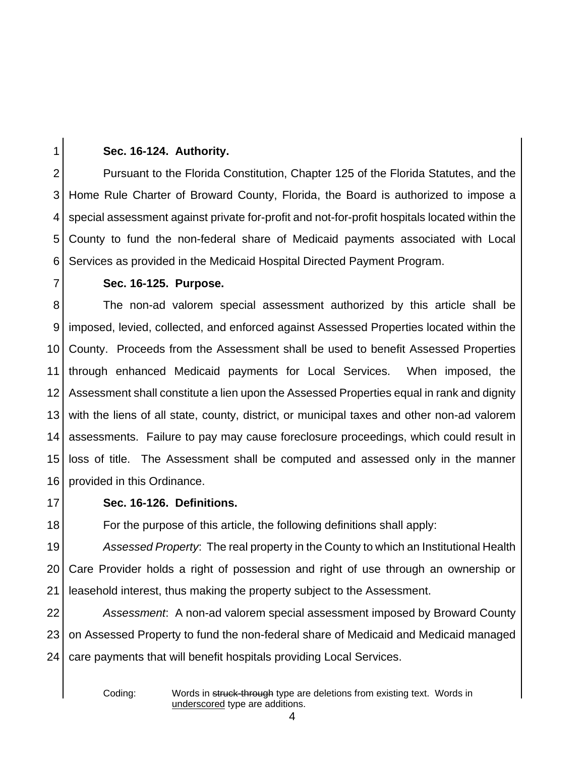# 2 4 5 6

1

## **Sec. 16-124. Authority.**

3 Pursuant to the Florida Constitution, Chapter 125 of the Florida Statutes, and the Home Rule Charter of Broward County, Florida, the Board is authorized to impose a special assessment against private for-profit and not-for-profit hospitals located within the County to fund the non-federal share of Medicaid payments associated with Local Services as provided in the Medicaid Hospital Directed Payment Program.

7

## **Sec. 16-125. Purpose.**

8 9 10 11 12 13 14 15 16 The non-ad valorem special assessment authorized by this article shall be imposed, levied, collected, and enforced against Assessed Properties located within the County. Proceeds from the Assessment shall be used to benefit Assessed Properties through enhanced Medicaid payments for Local Services. When imposed, the Assessment shall constitute a lien upon the Assessed Properties equal in rank and dignity with the liens of all state, county, district, or municipal taxes and other non-ad valorem assessments. Failure to pay may cause foreclosure proceedings, which could result in loss of title. The Assessment shall be computed and assessed only in the manner provided in this Ordinance.

17

18

## **Sec. 16-126. Definitions.**

For the purpose of this article, the following definitions shall apply:

19 20 21 *Assessed Property*:The real property in the County to which an Institutional Health Care Provider holds a right of possession and right of use through an ownership or leasehold interest, thus making the property subject to the Assessment.

22 23 24 *Assessment*: A non-ad valorem special assessment imposed by Broward County on Assessed Property to fund the non-federal share of Medicaid and Medicaid managed care payments that will benefit hospitals providing Local Services.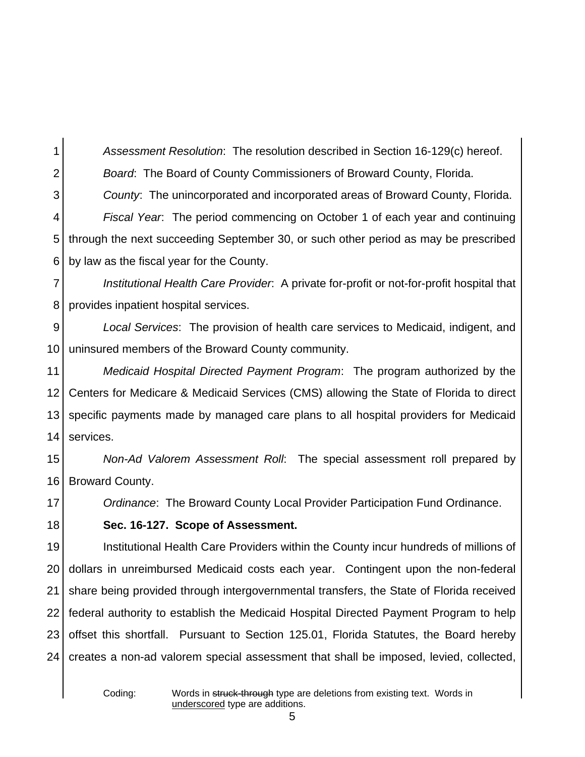1 2 3 4 5 6 *Assessment Resolution*: The resolution described in Section 16-129(c) hereof. *Board*: The Board of County Commissioners of Broward County, Florida. *County*: The unincorporated and incorporated areas of Broward County, Florida. *Fiscal Year*: The period commencing on October 1 of each year and continuing through the next succeeding September 30, or such other period as may be prescribed by law as the fiscal year for the County.

7 8 *Institutional Health Care Provider*: A private for-profit or not-for-profit hospital that provides inpatient hospital services.

9 10 *Local Services*: The provision of health care services to Medicaid, indigent, and uninsured members of the Broward County community.

11 12 13 14 *Medicaid Hospital Directed Payment Program*: The program authorized by the Centers for Medicare & Medicaid Services (CMS) allowing the State of Florida to direct specific payments made by managed care plans to all hospital providers for Medicaid services.

15 16 *Non-Ad Valorem Assessment Roll*: The special assessment roll prepared by Broward County.

17 *Ordinance*: The Broward County Local Provider Participation Fund Ordinance.

**Sec. 16-127. Scope of Assessment.**

19 20 21 22 23 24 Institutional Health Care Providers within the County incur hundreds of millions of dollars in unreimbursed Medicaid costs each year. Contingent upon the non-federal share being provided through intergovernmental transfers, the State of Florida received federal authority to establish the Medicaid Hospital Directed Payment Program to help offset this shortfall. Pursuant to Section 125.01, Florida Statutes, the Board hereby creates a non-ad valorem special assessment that shall be imposed, levied, collected,

18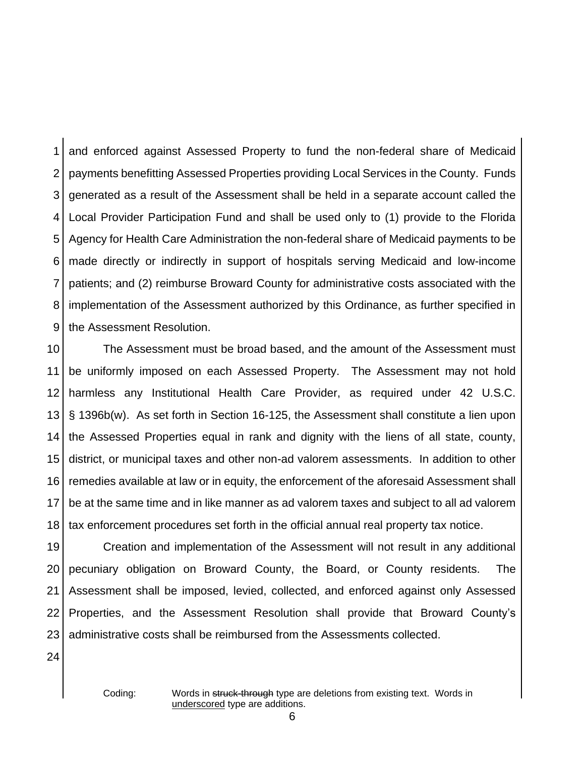1 2 3 4 5 6 7 8 9 and enforced against Assessed Property to fund the non-federal share of Medicaid payments benefitting Assessed Properties providing Local Services in the County. Funds generated as a result of the Assessment shall be held in a separate account called the Local Provider Participation Fund and shall be used only to (1) provide to the Florida Agency for Health Care Administration the non-federal share of Medicaid payments to be made directly or indirectly in support of hospitals serving Medicaid and low-income patients; and (2) reimburse Broward County for administrative costs associated with the implementation of the Assessment authorized by this Ordinance, as further specified in the Assessment Resolution.

10 11 12 13 14 15 16 17 18 The Assessment must be broad based, and the amount of the Assessment must be uniformly imposed on each Assessed Property. The Assessment may not hold harmless any Institutional Health Care Provider, as required under 42 U.S.C. § 1396b(w). As set forth in Section 16-125, the Assessment shall constitute a lien upon the Assessed Properties equal in rank and dignity with the liens of all state, county, district, or municipal taxes and other non-ad valorem assessments. In addition to other remedies available at law or in equity, the enforcement of the aforesaid Assessment shall be at the same time and in like manner as ad valorem taxes and subject to all ad valorem tax enforcement procedures set forth in the official annual real property tax notice.

19 20 21 22 23 Creation and implementation of the Assessment will not result in any additional pecuniary obligation on Broward County, the Board, or County residents. The Assessment shall be imposed, levied, collected, and enforced against only Assessed Properties, and the Assessment Resolution shall provide that Broward County's administrative costs shall be reimbursed from the Assessments collected.

24

Coding: Words in struck-through type are deletions from existing text. Words in underscored type are additions.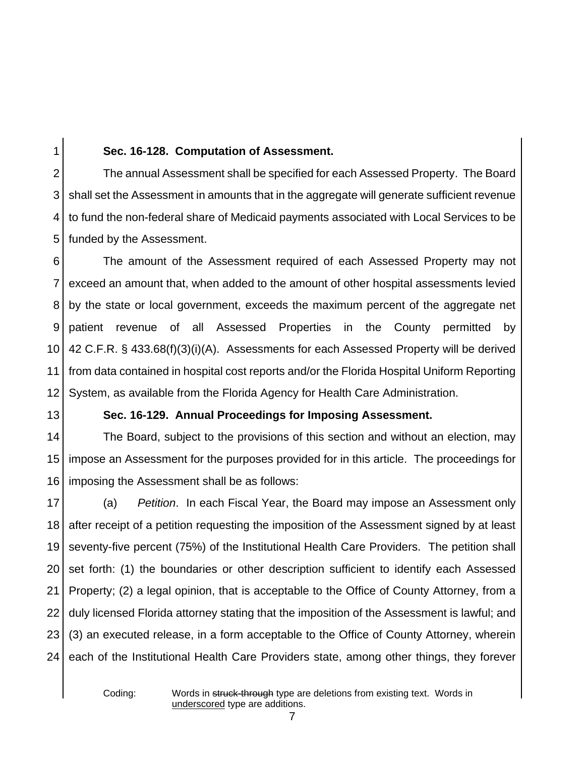# 1

#### **Sec. 16-128. Computation of Assessment.**

2 3 4 5 The annual Assessment shall be specified for each Assessed Property. The Board shall set the Assessment in amounts that in the aggregate will generate sufficient revenue to fund the non-federal share of Medicaid payments associated with Local Services to be funded by the Assessment.

6 7 8 9 10 11 12 The amount of the Assessment required of each Assessed Property may not exceed an amount that, when added to the amount of other hospital assessments levied by the state or local government, exceeds the maximum percent of the aggregate net patient revenue of all Assessed Properties in the County permitted by 42 C.F.R. § 433.68(f)(3)(i)(A). Assessments for each Assessed Property will be derived from data contained in hospital cost reports and/or the Florida Hospital Uniform Reporting System, as available from the Florida Agency for Health Care Administration.

13

#### **Sec. 16-129. Annual Proceedings for Imposing Assessment.**

14 15 16 The Board, subject to the provisions of this section and without an election, may impose an Assessment for the purposes provided for in this article. The proceedings for imposing the Assessment shall be as follows:

17 18 19 20 21 22 23 24 (a) *Petition*. In each Fiscal Year, the Board may impose an Assessment only after receipt of a petition requesting the imposition of the Assessment signed by at least seventy-five percent (75%) of the Institutional Health Care Providers. The petition shall set forth: (1) the boundaries or other description sufficient to identify each Assessed Property; (2) a legal opinion, that is acceptable to the Office of County Attorney, from a duly licensed Florida attorney stating that the imposition of the Assessment is lawful; and (3) an executed release, in a form acceptable to the Office of County Attorney, wherein each of the Institutional Health Care Providers state, among other things, they forever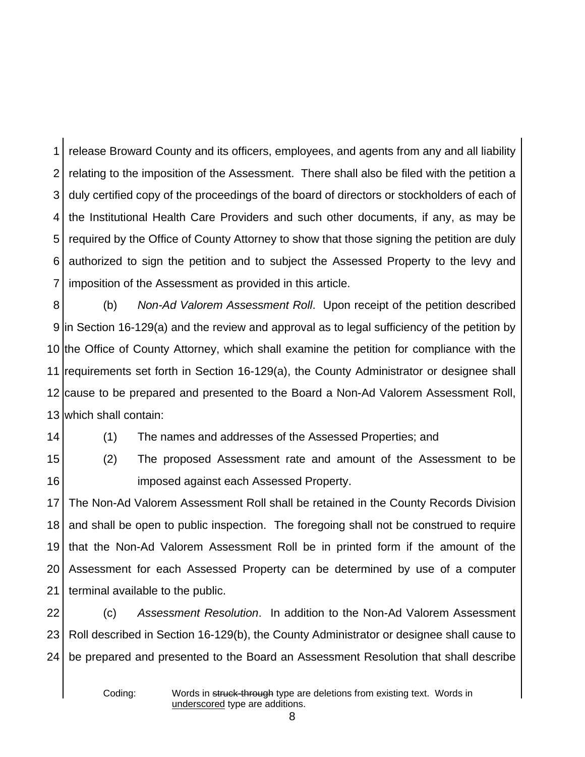1 2 3 4 5 6 7 release Broward County and its officers, employees, and agents from any and all liability relating to the imposition of the Assessment. There shall also be filed with the petition a duly certified copy of the proceedings of the board of directors or stockholders of each of the Institutional Health Care Providers and such other documents, if any, as may be required by the Office of County Attorney to show that those signing the petition are duly authorized to sign the petition and to subject the Assessed Property to the levy and imposition of the Assessment as provided in this article.

8 in Section 16-129(a) and the review and approval as to legal sufficiency of the petition by the Office of County Attorney, which shall examine the petition for compliance with the requirements set forth in Section 16-129(a), the County Administrator or designee shall cause to be prepared and presented to the Board a Non-Ad Valorem Assessment Roll, which shall contain: (b) *Non-Ad Valorem Assessment Roll*. Upon receipt of the petition described

14

(1) The names and addresses of the Assessed Properties; and

15 16 (2) The proposed Assessment rate and amount of the Assessment to be imposed against each Assessed Property.

17 18 19 20 21 The Non-Ad Valorem Assessment Roll shall be retained in the County Records Division and shall be open to public inspection. The foregoing shall not be construed to require that the Non-Ad Valorem Assessment Roll be in printed form if the amount of the Assessment for each Assessed Property can be determined by use of a computer terminal available to the public.

22 23 24 (c) *Assessment Resolution*. In addition to the Non-Ad Valorem Assessment Roll described in Section 16-129(b), the County Administrator or designee shall cause to be prepared and presented to the Board an Assessment Resolution that shall describe

Coding: Words in struck-through type are deletions from existing text. Words in underscored type are additions.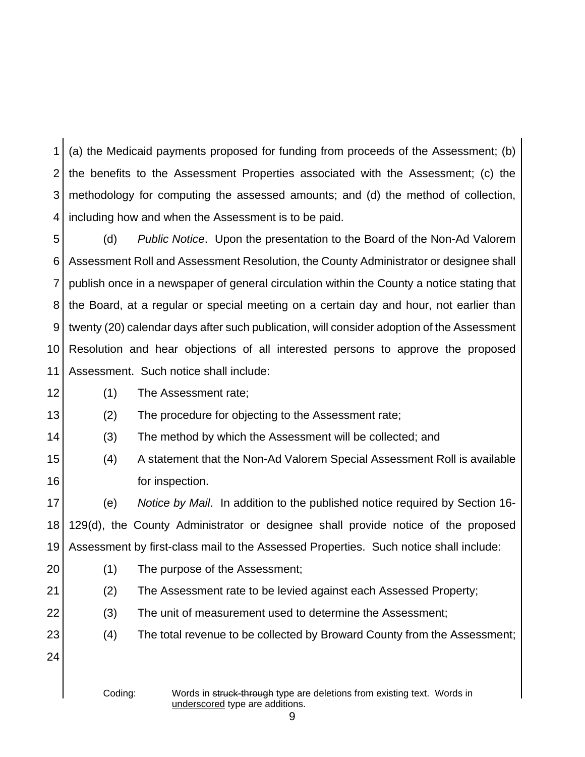1 2 3 4 (a) the Medicaid payments proposed for funding from proceeds of the Assessment; (b) the benefits to the Assessment Properties associated with the Assessment; (c) the methodology for computing the assessed amounts; and (d) the method of collection, including how and when the Assessment is to be paid.

5 6 7 8 9 10 11 (d) *Public Notice*. Upon the presentation to the Board of the Non-Ad Valorem Assessment Roll and Assessment Resolution, the County Administrator or designee shall publish once in a newspaper of general circulation within the County a notice stating that the Board, at a regular or special meeting on a certain day and hour, not earlier than twenty (20) calendar days after such publication, will consider adoption of the Assessment Resolution and hear objections of all interested persons to approve the proposed Assessment. Such notice shall include:

12 (1) The Assessment rate;

13 (2) The procedure for objecting to the Assessment rate;

14 (3) The method by which the Assessment will be collected; and

15 16 (4) A statement that the Non-Ad Valorem Special Assessment Roll is available for inspection.

17 18 19 (e) *Notice by Mail*. In addition to the published notice required by Section 16- 129(d), the County Administrator or designee shall provide notice of the proposed Assessment by first-class mail to the Assessed Properties. Such notice shall include:

- 20 (1) The purpose of the Assessment;
- 21 (2) The Assessment rate to be levied against each Assessed Property;
	- (3) The unit of measurement used to determine the Assessment;
		- (4) The total revenue to be collected by Broward County from the Assessment;
- 23 24

22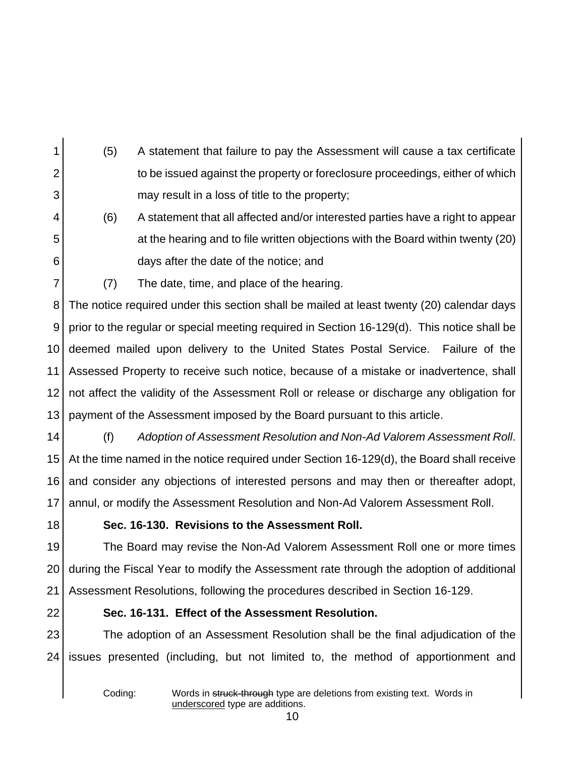- 1 2 3 (5) A statement that failure to pay the Assessment will cause a tax certificate to be issued against the property or foreclosure proceedings, either of which may result in a loss of title to the property;
	- (6) A statement that all affected and/or interested parties have a right to appear at the hearing and to file written objections with the Board within twenty (20) days after the date of the notice; and
		- (7) The date, time, and place of the hearing.

8 9 10 11 12 13 The notice required under this section shall be mailed at least twenty (20) calendar days prior to the regular or special meeting required in Section 16-129(d). This notice shall be deemed mailed upon delivery to the United States Postal Service. Failure of the Assessed Property to receive such notice, because of a mistake or inadvertence, shall not affect the validity of the Assessment Roll or release or discharge any obligation for payment of the Assessment imposed by the Board pursuant to this article.

- 14 15 16 17 (f) *Adoption of Assessment Resolution and Non-Ad Valorem Assessment Roll*. At the time named in the notice required under Section 16-129(d), the Board shall receive and consider any objections of interested persons and may then or thereafter adopt, annul, or modify the Assessment Resolution and Non-Ad Valorem Assessment Roll.
- 18

4

5

6

7

## **Sec. 16-130. Revisions to the Assessment Roll.**

19 20 21 The Board may revise the Non-Ad Valorem Assessment Roll one or more times during the Fiscal Year to modify the Assessment rate through the adoption of additional Assessment Resolutions, following the procedures described in Section 16-129.

22

## **Sec. 16-131. Effect of the Assessment Resolution.**

23 24 The adoption of an Assessment Resolution shall be the final adjudication of the issues presented (including, but not limited to, the method of apportionment and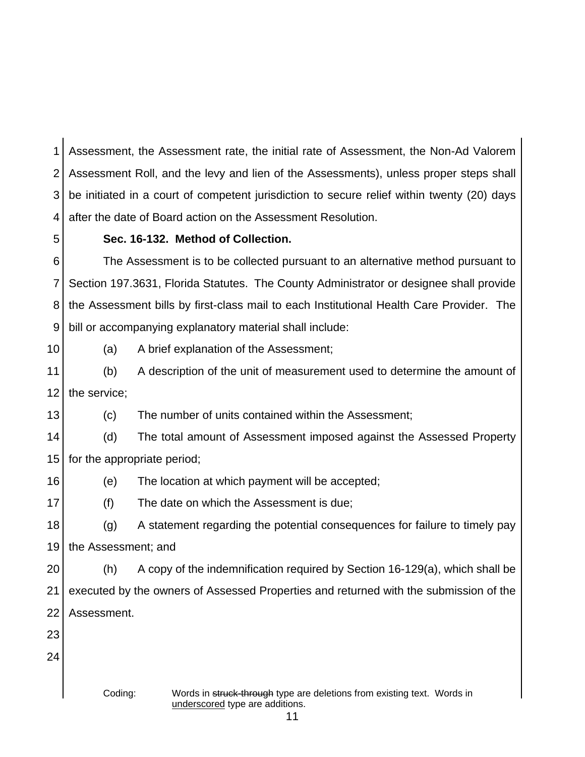1 2 3 4 Assessment, the Assessment rate, the initial rate of Assessment, the Non-Ad Valorem Assessment Roll, and the levy and lien of the Assessments), unless proper steps shall be initiated in a court of competent jurisdiction to secure relief within twenty (20) days after the date of Board action on the Assessment Resolution.

#### 5

## **Sec. 16-132. Method of Collection.**

6 7 8 9 The Assessment is to be collected pursuant to an alternative method pursuant to Section 197.3631, Florida Statutes. The County Administrator or designee shall provide the Assessment bills by first-class mail to each Institutional Health Care Provider. The bill or accompanying explanatory material shall include:

10

(a) A brief explanation of the Assessment;

11 12 (b) A description of the unit of measurement used to determine the amount of the service;

13 (c) The number of units contained within the Assessment;

14 15 (d) The total amount of Assessment imposed against the Assessed Property for the appropriate period;

16 (e) The location at which payment will be accepted;

17 (f) The date on which the Assessment is due;

18 19 (g) A statement regarding the potential consequences for failure to timely pay the Assessment; and

20 21 22 (h) A copy of the indemnification required by Section 16-129(a), which shall be executed by the owners of Assessed Properties and returned with the submission of the Assessment.

23

24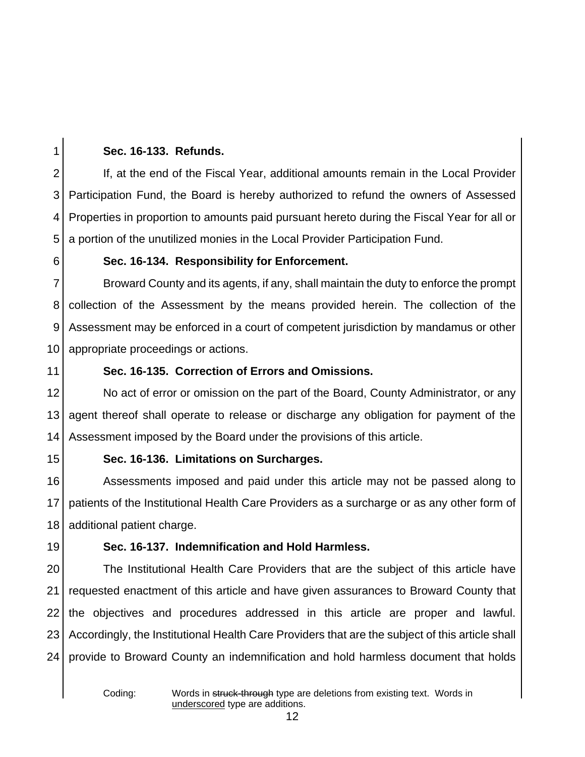3 4

1

## **Sec. 16-133. Refunds.**

2 5 If, at the end of the Fiscal Year, additional amounts remain in the Local Provider Participation Fund, the Board is hereby authorized to refund the owners of Assessed Properties in proportion to amounts paid pursuant hereto during the Fiscal Year for all or a portion of the unutilized monies in the Local Provider Participation Fund.

# 6

## **Sec. 16-134. Responsibility for Enforcement.**

7 8 9 10 Broward County and its agents, if any, shall maintain the duty to enforce the prompt collection of the Assessment by the means provided herein. The collection of the Assessment may be enforced in a court of competent jurisdiction by mandamus or other appropriate proceedings or actions.

11

# **Sec. 16-135. Correction of Errors and Omissions.**

12 13 14 No act of error or omission on the part of the Board, County Administrator, or any agent thereof shall operate to release or discharge any obligation for payment of the Assessment imposed by the Board under the provisions of this article.

15

# **Sec. 16-136. Limitations on Surcharges.**

16 17 18 Assessments imposed and paid under this article may not be passed along to patients of the Institutional Health Care Providers as a surcharge or as any other form of additional patient charge.

# 19

# **Sec. 16-137. Indemnification and Hold Harmless.**

20 21 22 23 24 The Institutional Health Care Providers that are the subject of this article have requested enactment of this article and have given assurances to Broward County that the objectives and procedures addressed in this article are proper and lawful. Accordingly, the Institutional Health Care Providers that are the subject of this article shall provide to Broward County an indemnification and hold harmless document that holds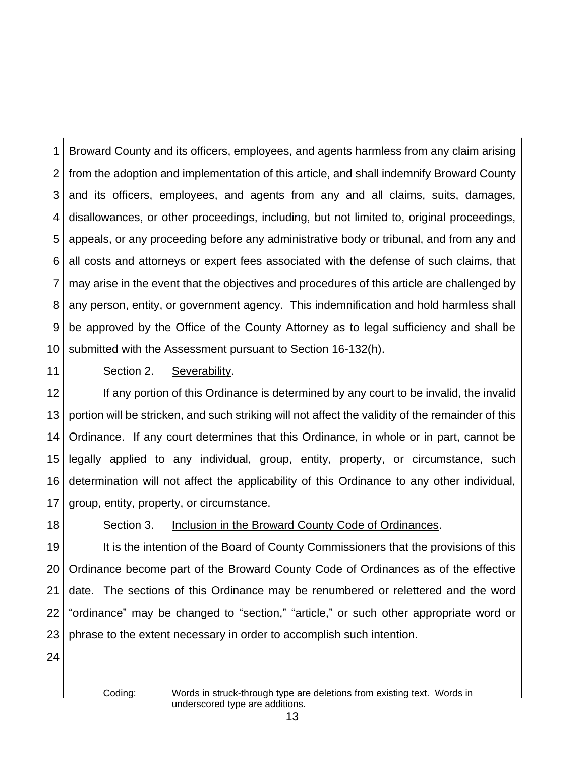1 2 3 4 5 6 7 8 9 10 Broward County and its officers, employees, and agents harmless from any claim arising from the adoption and implementation of this article, and shall indemnify Broward County and its officers, employees, and agents from any and all claims, suits, damages, disallowances, or other proceedings, including, but not limited to, original proceedings, appeals, or any proceeding before any administrative body or tribunal, and from any and all costs and attorneys or expert fees associated with the defense of such claims, that may arise in the event that the objectives and procedures of this article are challenged by any person, entity, or government agency. This indemnification and hold harmless shall be approved by the Office of the County Attorney as to legal sufficiency and shall be submitted with the Assessment pursuant to Section 16-132(h).

11

#### Section 2. Severability.

12 13 14 15 16 17 If any portion of this Ordinance is determined by any court to be invalid, the invalid portion will be stricken, and such striking will not affect the validity of the remainder of this Ordinance. If any court determines that this Ordinance, in whole or in part, cannot be legally applied to any individual, group, entity, property, or circumstance, such determination will not affect the applicability of this Ordinance to any other individual, group, entity, property, or circumstance.

18

#### Section 3. Inclusion in the Broward County Code of Ordinances.

19 20 21 22 23 It is the intention of the Board of County Commissioners that the provisions of this Ordinance become part of the Broward County Code of Ordinances as of the effective date. The sections of this Ordinance may be renumbered or relettered and the word "ordinance" may be changed to "section," "article," or such other appropriate word or phrase to the extent necessary in order to accomplish such intention.